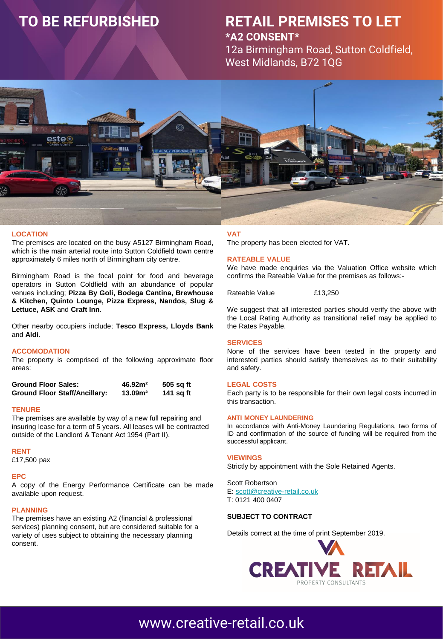# **TO BE REFURBISHED**

### **RETAIL PREMISES TO LET \*A2 CONSENT\***

12a Birmingham Road, Sutton Coldfield, West Midlands, B72 1QG



#### **LOCATION**

The premises are located on the busy A5127 Birmingham Road, which is the main arterial route into Sutton Coldfield town centre approximately 6 miles north of Birmingham city centre.

Birmingham Road is the focal point for food and beverage operators in Sutton Coldfield with an abundance of popular venues including; **Pizza By Goli, Bodega Cantina, Brewhouse & Kitchen, Quinto Lounge, Pizza Express, Nandos, Slug & Lettuce, ASK** and **Craft Inn**.

Other nearby occupiers include; **Tesco Express, Lloyds Bank** and **Aldi**.

#### **ACCOMODATION**

The property is comprised of the following approximate floor areas:

| <b>Ground Floor Sales:</b>           | 46.92 <sup>2</sup> | 505 sq ft |
|--------------------------------------|--------------------|-----------|
| <b>Ground Floor Staff/Ancillary:</b> | 13.09 <sup>2</sup> | 141 sq ft |

#### **TENURE**

The premises are available by way of a new full repairing and insuring lease for a term of 5 years. All leases will be contracted outside of the Landlord & Tenant Act 1954 (Part II).

#### **RENT**

£17,500 pax

#### **EPC**

A copy of the Energy Performance Certificate can be made available upon request.

#### **PLANNING**

The premises have an existing A2 (financial & professional services) planning consent, but are considered suitable for a variety of uses subject to obtaining the necessary planning consent.

#### **VAT**

The property has been elected for VAT.

#### **RATEABLE VALUE**

We have made enquiries via the Valuation Office website which confirms the Rateable Value for the premises as follows:-

Rateable Value £13,250

We suggest that all interested parties should verify the above with the Local Rating Authority as transitional relief may be applied to the Rates Payable.

#### **SERVICES**

None of the services have been tested in the property and interested parties should satisfy themselves as to their suitability and safety.

#### **LEGAL COSTS**

Each party is to be responsible for their own legal costs incurred in this transaction.

#### **ANTI MONEY LAUNDERING**

In accordance with Anti-Money Laundering Regulations, two forms of ID and confirmation of the source of funding will be required from the successful applicant.

#### **VIEWINGS**

Strictly by appointment with the Sole Retained Agents.

Scott Robertson E: [scott@creative-retail.co.uk](mailto:scott@creative-retail.co.uk) T: 0121 400 0407

#### **SUBJECT TO CONTRACT**

Deta[ils correct at the time of print September 2019.](http://www.creative-retail.co.uk/)



## [www.creative-retail.co.uk](http://www.creative-retail.co.uk/)